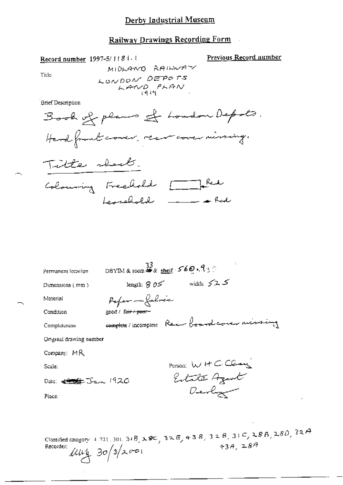## Derby Industrial Museum

## Railway Drawings Recording Form  $\mathbb{R}^2$

Previous Record number

Title

Brief Description

Record number 1997-5/1181.1

Recorder:  $\mu v_1$  30/3/2001

| Permanent location             | DBYIM & room $\overset{33}{4}$ shelf $569.93$ |                                                                                                 |  |  |  |
|--------------------------------|-----------------------------------------------|-------------------------------------------------------------------------------------------------|--|--|--|
| Dimensions (mm)                | length: $805$ width: $525$                    |                                                                                                 |  |  |  |
| Material                       | Poper - Labrée                                |                                                                                                 |  |  |  |
| Condition                      | good / fa <del>ir / pour -</del>              |                                                                                                 |  |  |  |
| Completeness                   |                                               | somptote / incomplete Reem board corem missing                                                  |  |  |  |
| Original drawing number        |                                               |                                                                                                 |  |  |  |
| Company: MR                    |                                               |                                                                                                 |  |  |  |
| Scale:                         |                                               | Person: WHCClay                                                                                 |  |  |  |
| Date: <del>€ \$</del> Jan 1920 |                                               | Entate Agent                                                                                    |  |  |  |
| Place:                         |                                               | Devly                                                                                           |  |  |  |
|                                |                                               |                                                                                                 |  |  |  |
| Recorder:                      | $1111 \cdot 30/3/2001$                        | Classified category: 4.721, 301, 31B, 28C, 32E, 43B, 32B, 32B, 31C, 28B, 28D, 32A<br>43A, $28A$ |  |  |  |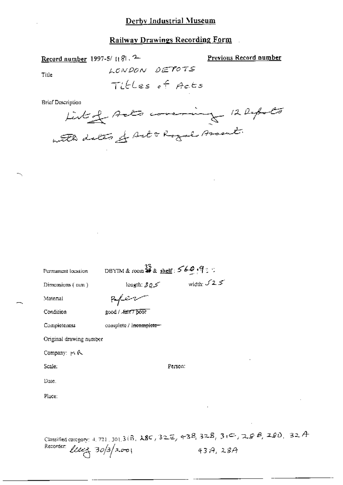**Railway Drawings Recording Form** 

Record number 1997-5/ {{8}, 2 LONDON DETOTS Titles of Acts Brief Description Likely Acts covering 12 Depots with dates of Art & Royal Assent.

| Permanent location                 | DBYIM & room $\frac{32}{4}$ & shelf: $569.9$ : |                                                                                               |  |
|------------------------------------|------------------------------------------------|-----------------------------------------------------------------------------------------------|--|
| Dimensions (mm)                    | length: $305$                                  | width: $\sqrt{2.5}$                                                                           |  |
| Material                           |                                                |                                                                                               |  |
| Condition                          | good / Aart 7 poor                             |                                                                                               |  |
| Completeness                       | complete / incomplete-                         |                                                                                               |  |
| Original drawing number            |                                                |                                                                                               |  |
| Company: pv R.                     |                                                |                                                                                               |  |
| Scale.                             |                                                | Person:                                                                                       |  |
| Date.                              |                                                |                                                                                               |  |
| Place:                             |                                                |                                                                                               |  |
|                                    |                                                |                                                                                               |  |
|                                    |                                                |                                                                                               |  |
|                                    |                                                | Classified category: 4, 721, 301, 3 (B), $\lambda$ 8C, 32E, 43B, 32B, 3(C, 2GB, 2GB, 2GD, 32A |  |
| Recorder:<br>$\ell$ leez 30/3/2001 |                                                | 43A.28A                                                                                       |  |
|                                    |                                                |                                                                                               |  |

Previous Record number

Title